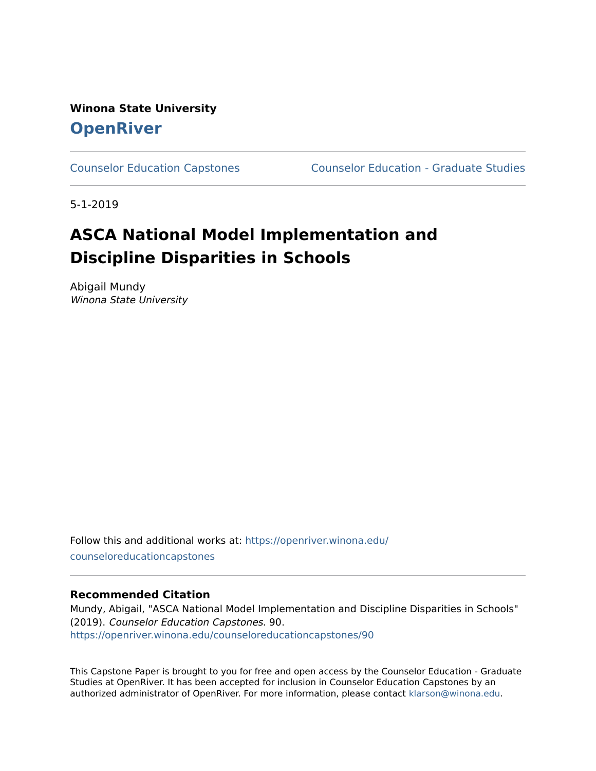**Winona State University [OpenRiver](https://openriver.winona.edu/)** 

[Counselor Education Capstones](https://openriver.winona.edu/counseloreducationcapstones) [Counselor Education - Graduate Studies](https://openriver.winona.edu/counseloreducation) 

5-1-2019

# **ASCA National Model Implementation and Discipline Disparities in Schools**

Abigail Mundy Winona State University

Follow this and additional works at: [https://openriver.winona.edu/](https://openriver.winona.edu/counseloreducationcapstones?utm_source=openriver.winona.edu%2Fcounseloreducationcapstones%2F90&utm_medium=PDF&utm_campaign=PDFCoverPages) [counseloreducationcapstones](https://openriver.winona.edu/counseloreducationcapstones?utm_source=openriver.winona.edu%2Fcounseloreducationcapstones%2F90&utm_medium=PDF&utm_campaign=PDFCoverPages) 

### **Recommended Citation**

Mundy, Abigail, "ASCA National Model Implementation and Discipline Disparities in Schools" (2019). Counselor Education Capstones. 90. [https://openriver.winona.edu/counseloreducationcapstones/90](https://openriver.winona.edu/counseloreducationcapstones/90?utm_source=openriver.winona.edu%2Fcounseloreducationcapstones%2F90&utm_medium=PDF&utm_campaign=PDFCoverPages)

This Capstone Paper is brought to you for free and open access by the Counselor Education - Graduate Studies at OpenRiver. It has been accepted for inclusion in Counselor Education Capstones by an authorized administrator of OpenRiver. For more information, please contact [klarson@winona.edu](mailto:klarson@winona.edu).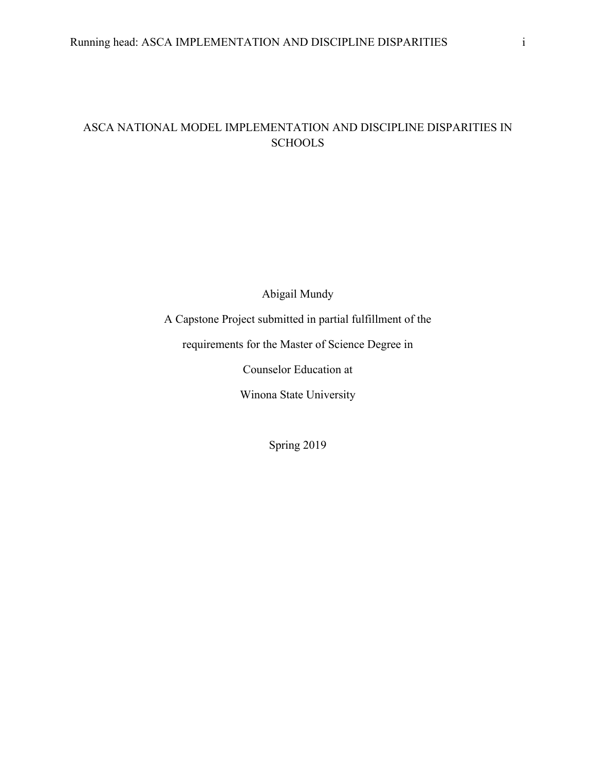# ASCA NATIONAL MODEL IMPLEMENTATION AND DISCIPLINE DISPARITIES IN **SCHOOLS**

Abigail Mundy

A Capstone Project submitted in partial fulfillment of the

requirements for the Master of Science Degree in

Counselor Education at

Winona State University

Spring 2019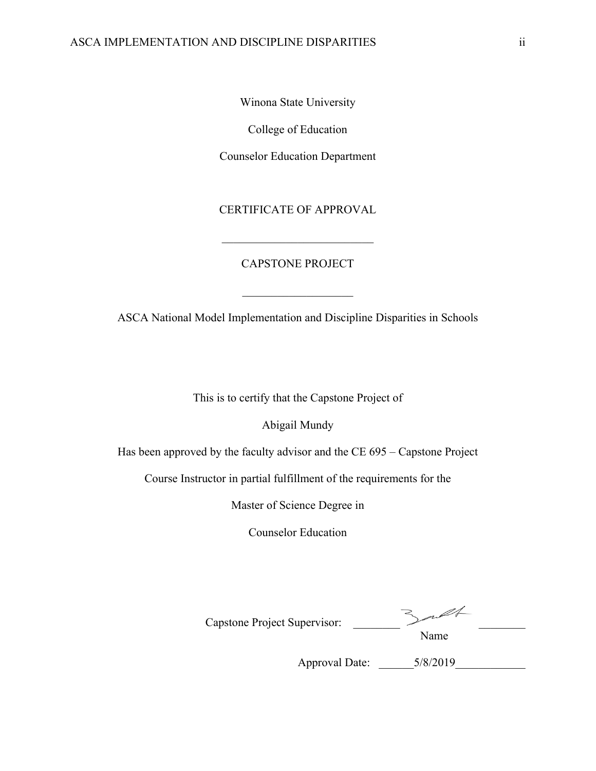Winona State University

College of Education

Counselor Education Department

CERTIFICATE OF APPROVAL

#### CAPSTONE PROJECT

ASCA National Model Implementation and Discipline Disparities in Schools

This is to certify that the Capstone Project of

Abigail Mundy

Has been approved by the faculty advisor and the CE 695 – Capstone Project

Course Instructor in partial fulfillment of the requirements for the

Master of Science Degree in

Counselor Education

Capstone Project Supervisor: \_\_\_\_\_\_\_\_ \_\_\_\_\_\_\_\_ Name

Approval Date: \_\_\_\_\_\_5/8/2019\_\_\_\_\_\_\_\_\_\_\_\_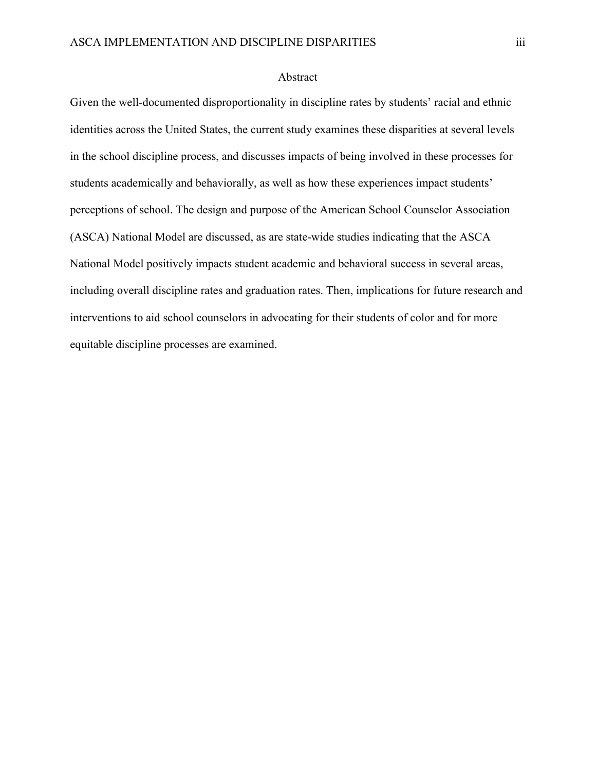#### Abstract

Given the well-documented disproportionality in discipline rates by students' racial and ethnic identities across the United States, the current study examines these disparities at several levels in the school discipline process, and discusses impacts of being involved in these processes for students academically and behaviorally, as well as how these experiences impact students' perceptions of school. The design and purpose of the American School Counselor Association (ASCA) National Model are discussed, as are state-wide studies indicating that the ASCA National Model positively impacts student academic and behavioral success in several areas, including overall discipline rates and graduation rates. Then, implications for future research and interventions to aid school counselors in advocating for their students of color and for more equitable discipline processes are examined.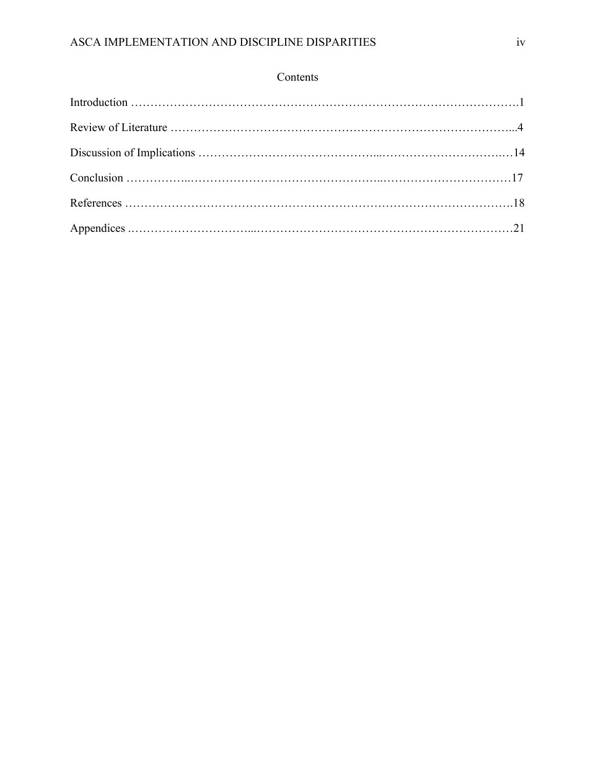# Contents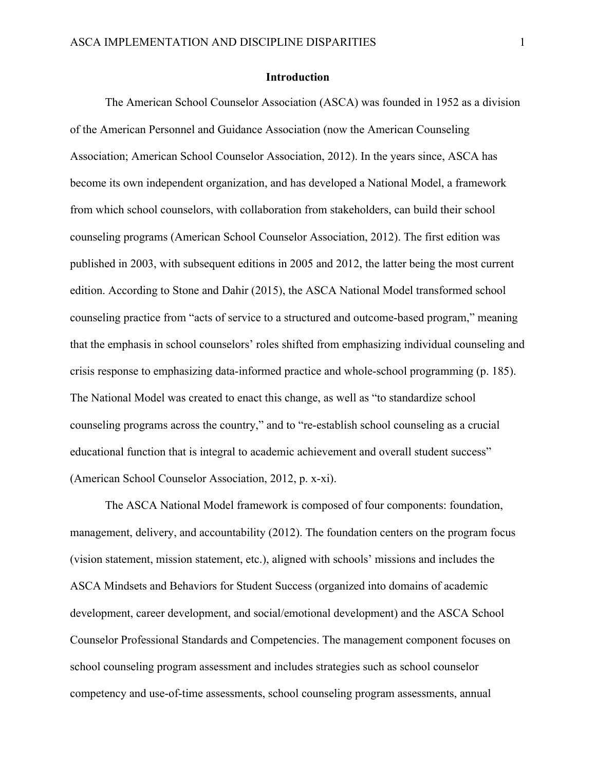#### **Introduction**

The American School Counselor Association (ASCA) was founded in 1952 as a division of the American Personnel and Guidance Association (now the American Counseling Association; American School Counselor Association, 2012). In the years since, ASCA has become its own independent organization, and has developed a National Model, a framework from which school counselors, with collaboration from stakeholders, can build their school counseling programs (American School Counselor Association, 2012). The first edition was published in 2003, with subsequent editions in 2005 and 2012, the latter being the most current edition. According to Stone and Dahir (2015), the ASCA National Model transformed school counseling practice from "acts of service to a structured and outcome-based program," meaning that the emphasis in school counselors' roles shifted from emphasizing individual counseling and crisis response to emphasizing data-informed practice and whole-school programming (p. 185). The National Model was created to enact this change, as well as "to standardize school counseling programs across the country," and to "re-establish school counseling as a crucial educational function that is integral to academic achievement and overall student success" (American School Counselor Association, 2012, p. x-xi).

The ASCA National Model framework is composed of four components: foundation, management, delivery, and accountability (2012). The foundation centers on the program focus (vision statement, mission statement, etc.), aligned with schools' missions and includes the ASCA Mindsets and Behaviors for Student Success (organized into domains of academic development, career development, and social/emotional development) and the ASCA School Counselor Professional Standards and Competencies. The management component focuses on school counseling program assessment and includes strategies such as school counselor competency and use-of-time assessments, school counseling program assessments, annual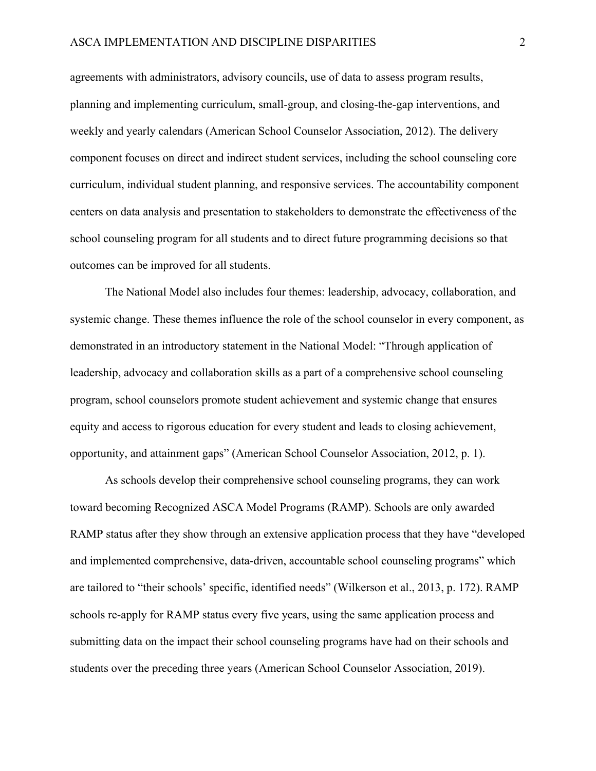agreements with administrators, advisory councils, use of data to assess program results, planning and implementing curriculum, small-group, and closing-the-gap interventions, and weekly and yearly calendars (American School Counselor Association, 2012). The delivery component focuses on direct and indirect student services, including the school counseling core curriculum, individual student planning, and responsive services. The accountability component centers on data analysis and presentation to stakeholders to demonstrate the effectiveness of the school counseling program for all students and to direct future programming decisions so that outcomes can be improved for all students.

The National Model also includes four themes: leadership, advocacy, collaboration, and systemic change. These themes influence the role of the school counselor in every component, as demonstrated in an introductory statement in the National Model: "Through application of leadership, advocacy and collaboration skills as a part of a comprehensive school counseling program, school counselors promote student achievement and systemic change that ensures equity and access to rigorous education for every student and leads to closing achievement, opportunity, and attainment gaps" (American School Counselor Association, 2012, p. 1).

As schools develop their comprehensive school counseling programs, they can work toward becoming Recognized ASCA Model Programs (RAMP). Schools are only awarded RAMP status after they show through an extensive application process that they have "developed and implemented comprehensive, data-driven, accountable school counseling programs" which are tailored to "their schools' specific, identified needs" (Wilkerson et al., 2013, p. 172). RAMP schools re-apply for RAMP status every five years, using the same application process and submitting data on the impact their school counseling programs have had on their schools and students over the preceding three years (American School Counselor Association, 2019).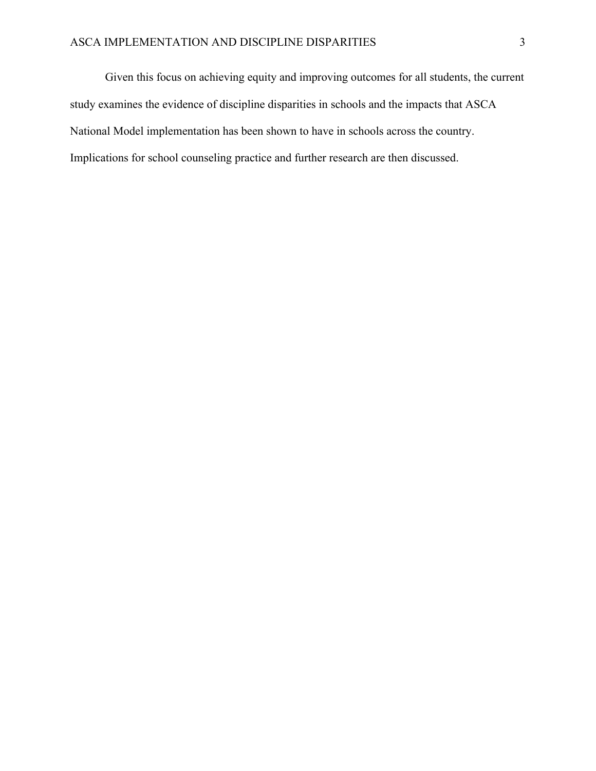Given this focus on achieving equity and improving outcomes for all students, the current study examines the evidence of discipline disparities in schools and the impacts that ASCA National Model implementation has been shown to have in schools across the country. Implications for school counseling practice and further research are then discussed.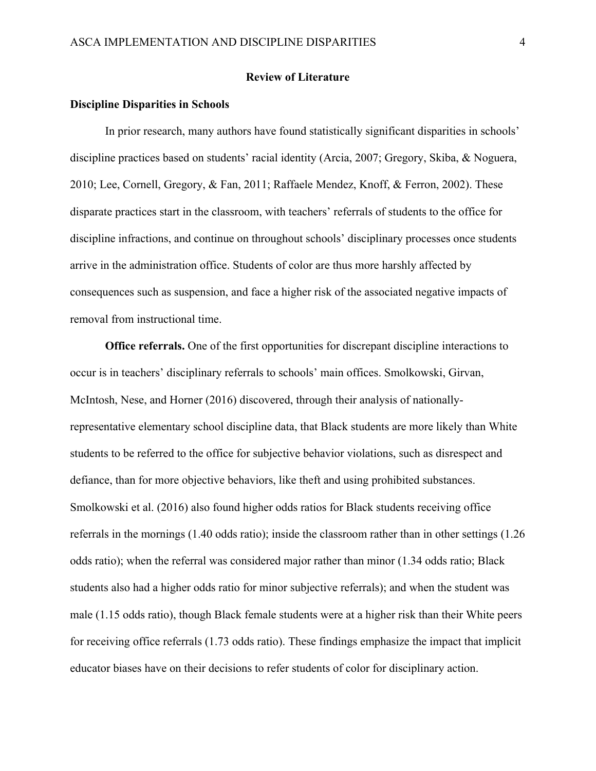#### **Review of Literature**

#### **Discipline Disparities in Schools**

In prior research, many authors have found statistically significant disparities in schools' discipline practices based on students' racial identity (Arcia, 2007; Gregory, Skiba, & Noguera, 2010; Lee, Cornell, Gregory, & Fan, 2011; Raffaele Mendez, Knoff, & Ferron, 2002). These disparate practices start in the classroom, with teachers' referrals of students to the office for discipline infractions, and continue on throughout schools' disciplinary processes once students arrive in the administration office. Students of color are thus more harshly affected by consequences such as suspension, and face a higher risk of the associated negative impacts of removal from instructional time.

**Office referrals.** One of the first opportunities for discrepant discipline interactions to occur is in teachers' disciplinary referrals to schools' main offices. Smolkowski, Girvan, McIntosh, Nese, and Horner (2016) discovered, through their analysis of nationallyrepresentative elementary school discipline data, that Black students are more likely than White students to be referred to the office for subjective behavior violations, such as disrespect and defiance, than for more objective behaviors, like theft and using prohibited substances. Smolkowski et al. (2016) also found higher odds ratios for Black students receiving office referrals in the mornings (1.40 odds ratio); inside the classroom rather than in other settings (1.26 odds ratio); when the referral was considered major rather than minor (1.34 odds ratio; Black students also had a higher odds ratio for minor subjective referrals); and when the student was male (1.15 odds ratio), though Black female students were at a higher risk than their White peers for receiving office referrals (1.73 odds ratio). These findings emphasize the impact that implicit educator biases have on their decisions to refer students of color for disciplinary action.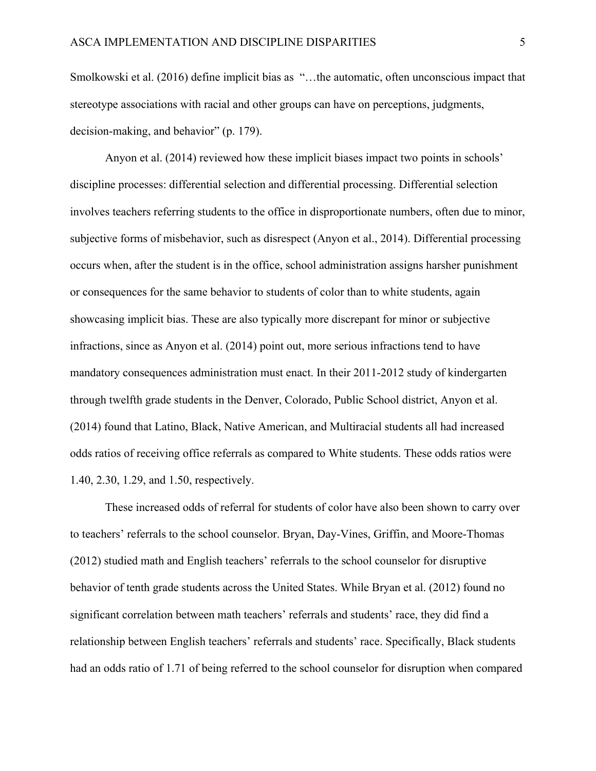Smolkowski et al. (2016) define implicit bias as "…the automatic, often unconscious impact that stereotype associations with racial and other groups can have on perceptions, judgments, decision-making, and behavior" (p. 179).

Anyon et al. (2014) reviewed how these implicit biases impact two points in schools' discipline processes: differential selection and differential processing. Differential selection involves teachers referring students to the office in disproportionate numbers, often due to minor, subjective forms of misbehavior, such as disrespect (Anyon et al., 2014). Differential processing occurs when, after the student is in the office, school administration assigns harsher punishment or consequences for the same behavior to students of color than to white students, again showcasing implicit bias. These are also typically more discrepant for minor or subjective infractions, since as Anyon et al. (2014) point out, more serious infractions tend to have mandatory consequences administration must enact. In their 2011-2012 study of kindergarten through twelfth grade students in the Denver, Colorado, Public School district, Anyon et al. (2014) found that Latino, Black, Native American, and Multiracial students all had increased odds ratios of receiving office referrals as compared to White students. These odds ratios were 1.40, 2.30, 1.29, and 1.50, respectively.

These increased odds of referral for students of color have also been shown to carry over to teachers' referrals to the school counselor. Bryan, Day-Vines, Griffin, and Moore-Thomas (2012) studied math and English teachers' referrals to the school counselor for disruptive behavior of tenth grade students across the United States. While Bryan et al. (2012) found no significant correlation between math teachers' referrals and students' race, they did find a relationship between English teachers' referrals and students' race. Specifically, Black students had an odds ratio of 1.71 of being referred to the school counselor for disruption when compared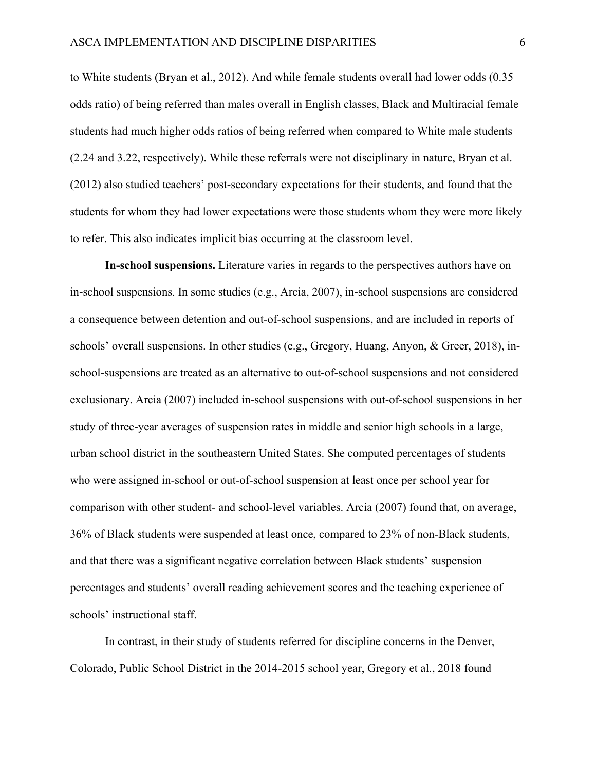to White students (Bryan et al., 2012). And while female students overall had lower odds (0.35 odds ratio) of being referred than males overall in English classes, Black and Multiracial female students had much higher odds ratios of being referred when compared to White male students (2.24 and 3.22, respectively). While these referrals were not disciplinary in nature, Bryan et al. (2012) also studied teachers' post-secondary expectations for their students, and found that the students for whom they had lower expectations were those students whom they were more likely to refer. This also indicates implicit bias occurring at the classroom level.

**In-school suspensions.** Literature varies in regards to the perspectives authors have on in-school suspensions. In some studies (e.g., Arcia, 2007), in-school suspensions are considered a consequence between detention and out-of-school suspensions, and are included in reports of schools' overall suspensions. In other studies (e.g., Gregory, Huang, Anyon, & Greer, 2018), inschool-suspensions are treated as an alternative to out-of-school suspensions and not considered exclusionary. Arcia (2007) included in-school suspensions with out-of-school suspensions in her study of three-year averages of suspension rates in middle and senior high schools in a large, urban school district in the southeastern United States. She computed percentages of students who were assigned in-school or out-of-school suspension at least once per school year for comparison with other student- and school-level variables. Arcia (2007) found that, on average, 36% of Black students were suspended at least once, compared to 23% of non-Black students, and that there was a significant negative correlation between Black students' suspension percentages and students' overall reading achievement scores and the teaching experience of schools' instructional staff.

In contrast, in their study of students referred for discipline concerns in the Denver, Colorado, Public School District in the 2014-2015 school year, Gregory et al., 2018 found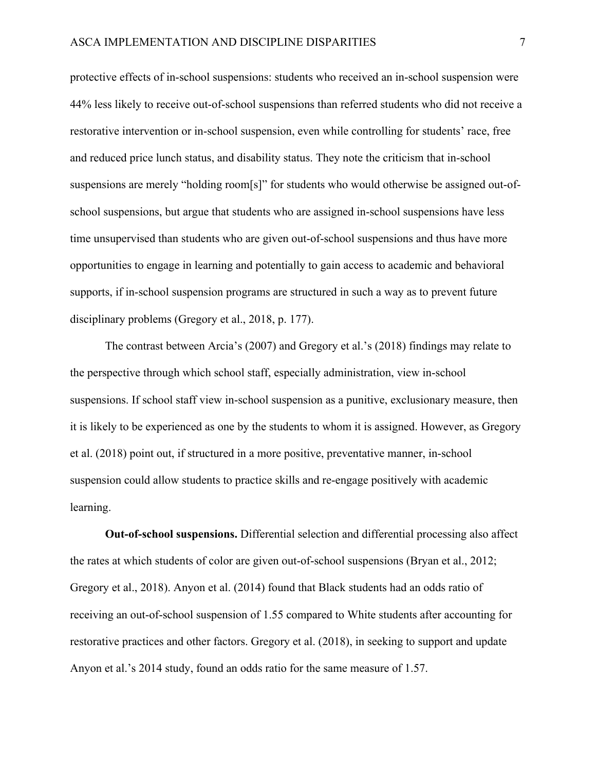protective effects of in-school suspensions: students who received an in-school suspension were 44% less likely to receive out-of-school suspensions than referred students who did not receive a restorative intervention or in-school suspension, even while controlling for students' race, free and reduced price lunch status, and disability status. They note the criticism that in-school suspensions are merely "holding room[s]" for students who would otherwise be assigned out-ofschool suspensions, but argue that students who are assigned in-school suspensions have less time unsupervised than students who are given out-of-school suspensions and thus have more opportunities to engage in learning and potentially to gain access to academic and behavioral supports, if in-school suspension programs are structured in such a way as to prevent future disciplinary problems (Gregory et al., 2018, p. 177).

The contrast between Arcia's (2007) and Gregory et al.'s (2018) findings may relate to the perspective through which school staff, especially administration, view in-school suspensions. If school staff view in-school suspension as a punitive, exclusionary measure, then it is likely to be experienced as one by the students to whom it is assigned. However, as Gregory et al. (2018) point out, if structured in a more positive, preventative manner, in-school suspension could allow students to practice skills and re-engage positively with academic learning.

**Out-of-school suspensions.** Differential selection and differential processing also affect the rates at which students of color are given out-of-school suspensions (Bryan et al., 2012; Gregory et al., 2018). Anyon et al. (2014) found that Black students had an odds ratio of receiving an out-of-school suspension of 1.55 compared to White students after accounting for restorative practices and other factors. Gregory et al. (2018), in seeking to support and update Anyon et al.'s 2014 study, found an odds ratio for the same measure of 1.57.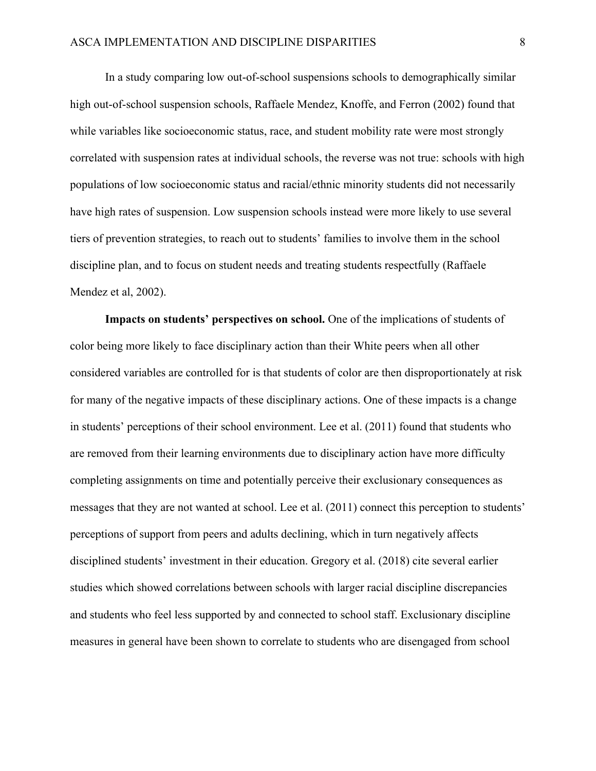In a study comparing low out-of-school suspensions schools to demographically similar high out-of-school suspension schools, Raffaele Mendez, Knoffe, and Ferron (2002) found that while variables like socioeconomic status, race, and student mobility rate were most strongly correlated with suspension rates at individual schools, the reverse was not true: schools with high populations of low socioeconomic status and racial/ethnic minority students did not necessarily have high rates of suspension. Low suspension schools instead were more likely to use several tiers of prevention strategies, to reach out to students' families to involve them in the school discipline plan, and to focus on student needs and treating students respectfully (Raffaele Mendez et al, 2002).

**Impacts on students' perspectives on school.** One of the implications of students of color being more likely to face disciplinary action than their White peers when all other considered variables are controlled for is that students of color are then disproportionately at risk for many of the negative impacts of these disciplinary actions. One of these impacts is a change in students' perceptions of their school environment. Lee et al. (2011) found that students who are removed from their learning environments due to disciplinary action have more difficulty completing assignments on time and potentially perceive their exclusionary consequences as messages that they are not wanted at school. Lee et al. (2011) connect this perception to students' perceptions of support from peers and adults declining, which in turn negatively affects disciplined students' investment in their education. Gregory et al. (2018) cite several earlier studies which showed correlations between schools with larger racial discipline discrepancies and students who feel less supported by and connected to school staff. Exclusionary discipline measures in general have been shown to correlate to students who are disengaged from school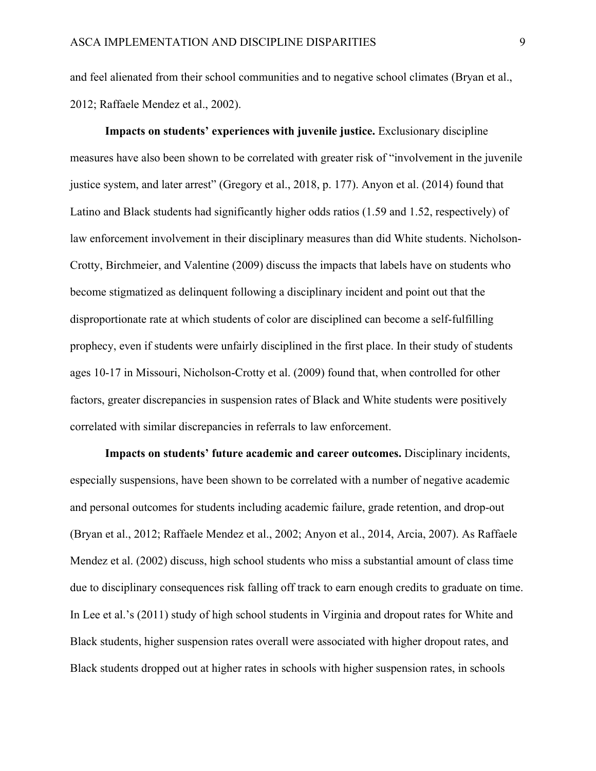and feel alienated from their school communities and to negative school climates (Bryan et al., 2012; Raffaele Mendez et al., 2002).

**Impacts on students' experiences with juvenile justice.** Exclusionary discipline measures have also been shown to be correlated with greater risk of "involvement in the juvenile justice system, and later arrest" (Gregory et al., 2018, p. 177). Anyon et al. (2014) found that Latino and Black students had significantly higher odds ratios (1.59 and 1.52, respectively) of law enforcement involvement in their disciplinary measures than did White students. Nicholson-Crotty, Birchmeier, and Valentine (2009) discuss the impacts that labels have on students who become stigmatized as delinquent following a disciplinary incident and point out that the disproportionate rate at which students of color are disciplined can become a self-fulfilling prophecy, even if students were unfairly disciplined in the first place. In their study of students ages 10-17 in Missouri, Nicholson-Crotty et al. (2009) found that, when controlled for other factors, greater discrepancies in suspension rates of Black and White students were positively correlated with similar discrepancies in referrals to law enforcement.

**Impacts on students' future academic and career outcomes.** Disciplinary incidents, especially suspensions, have been shown to be correlated with a number of negative academic and personal outcomes for students including academic failure, grade retention, and drop-out (Bryan et al., 2012; Raffaele Mendez et al., 2002; Anyon et al., 2014, Arcia, 2007). As Raffaele Mendez et al. (2002) discuss, high school students who miss a substantial amount of class time due to disciplinary consequences risk falling off track to earn enough credits to graduate on time. In Lee et al.'s (2011) study of high school students in Virginia and dropout rates for White and Black students, higher suspension rates overall were associated with higher dropout rates, and Black students dropped out at higher rates in schools with higher suspension rates, in schools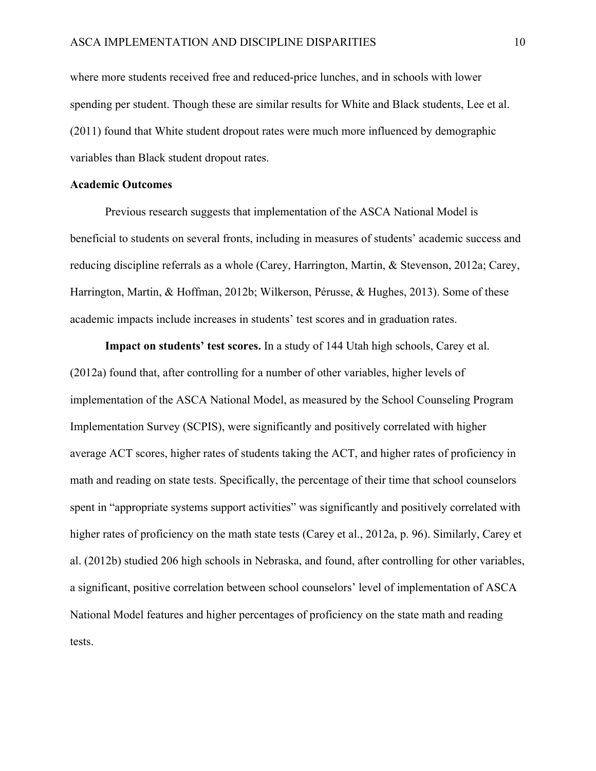where more students received free and reduced-price lunches, and in schools with lower spending per student. Though these are similar results for White and Black students, Lee et al. (2011) found that White student dropout rates were much more influenced by demographic variables than Black student dropout rates.

#### **Academic Outcomes**

Previous research suggests that implementation of the ASCA National Model is beneficial to students on several fronts, including in measures of students' academic success and reducing discipline referrals as a whole (Carey, Harrington, Martin, & Stevenson, 2012a; Carey, Harrington, Martin, & Hoffman, 2012b; Wilkerson, Pérusse, & Hughes, 2013). Some of these academic impacts include increases in students' test scores and in graduation rates.

**Impact on students' test scores.** In a study of 144 Utah high schools, Carey et al. (2012a) found that, after controlling for a number of other variables, higher levels of implementation of the ASCA National Model, as measured by the School Counseling Program Implementation Survey (SCPIS), were significantly and positively correlated with higher average ACT scores, higher rates of students taking the ACT, and higher rates of proficiency in math and reading on state tests. Specifically, the percentage of their time that school counselors spent in "appropriate systems support activities" was significantly and positively correlated with higher rates of proficiency on the math state tests (Carey et al., 2012a, p. 96). Similarly, Carey et al. (2012b) studied 206 high schools in Nebraska, and found, after controlling for other variables, a significant, positive correlation between school counselors' level of implementation of ASCA National Model features and higher percentages of proficiency on the state math and reading tests.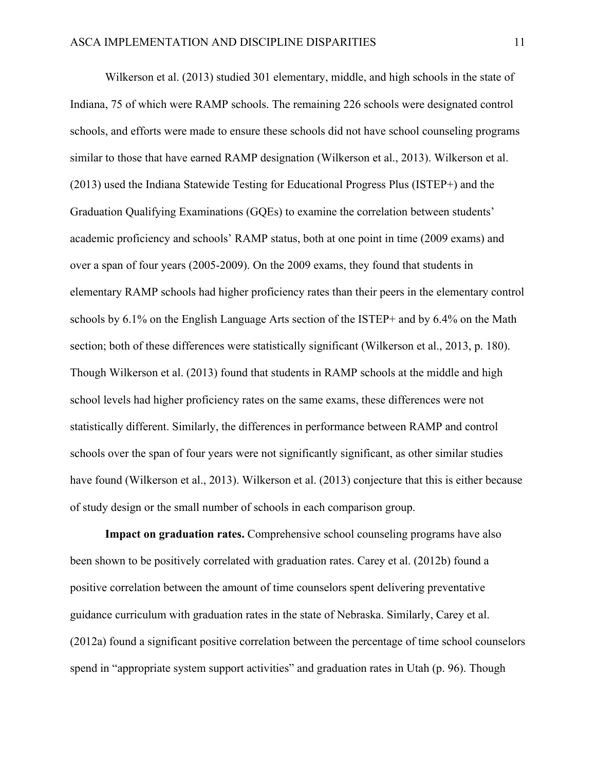Wilkerson et al. (2013) studied 301 elementary, middle, and high schools in the state of Indiana, 75 of which were RAMP schools. The remaining 226 schools were designated control schools, and efforts were made to ensure these schools did not have school counseling programs similar to those that have earned RAMP designation (Wilkerson et al., 2013). Wilkerson et al. (2013) used the Indiana Statewide Testing for Educational Progress Plus (ISTEP+) and the Graduation Qualifying Examinations (GQEs) to examine the correlation between students' academic proficiency and schools' RAMP status, both at one point in time (2009 exams) and over a span of four years (2005-2009). On the 2009 exams, they found that students in elementary RAMP schools had higher proficiency rates than their peers in the elementary control schools by 6.1% on the English Language Arts section of the ISTEP+ and by 6.4% on the Math section; both of these differences were statistically significant (Wilkerson et al., 2013, p. 180). Though Wilkerson et al. (2013) found that students in RAMP schools at the middle and high school levels had higher proficiency rates on the same exams, these differences were not statistically different. Similarly, the differences in performance between RAMP and control schools over the span of four years were not significantly significant, as other similar studies have found (Wilkerson et al., 2013). Wilkerson et al. (2013) conjecture that this is either because of study design or the small number of schools in each comparison group.

**Impact on graduation rates.** Comprehensive school counseling programs have also been shown to be positively correlated with graduation rates. Carey et al. (2012b) found a positive correlation between the amount of time counselors spent delivering preventative guidance curriculum with graduation rates in the state of Nebraska. Similarly, Carey et al. (2012a) found a significant positive correlation between the percentage of time school counselors spend in "appropriate system support activities" and graduation rates in Utah (p. 96). Though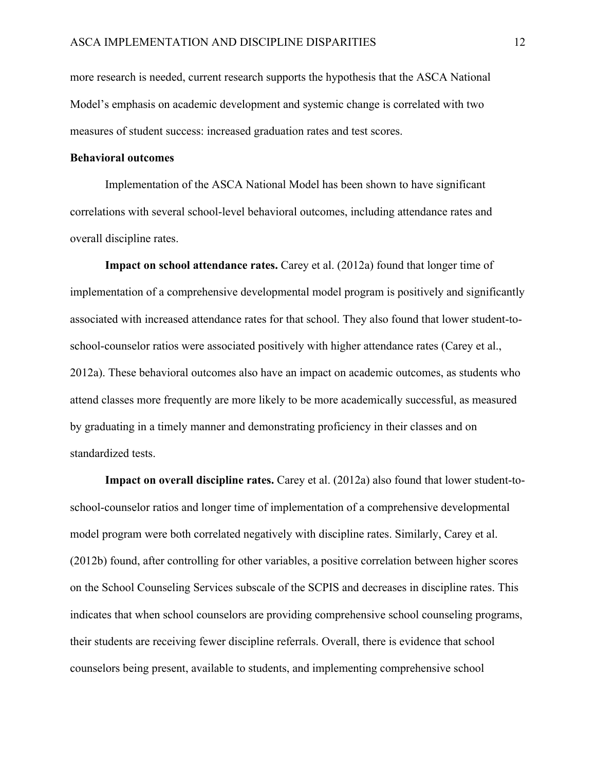more research is needed, current research supports the hypothesis that the ASCA National Model's emphasis on academic development and systemic change is correlated with two measures of student success: increased graduation rates and test scores.

#### **Behavioral outcomes**

Implementation of the ASCA National Model has been shown to have significant correlations with several school-level behavioral outcomes, including attendance rates and overall discipline rates.

**Impact on school attendance rates.** Carey et al. (2012a) found that longer time of implementation of a comprehensive developmental model program is positively and significantly associated with increased attendance rates for that school. They also found that lower student-toschool-counselor ratios were associated positively with higher attendance rates (Carey et al., 2012a). These behavioral outcomes also have an impact on academic outcomes, as students who attend classes more frequently are more likely to be more academically successful, as measured by graduating in a timely manner and demonstrating proficiency in their classes and on standardized tests.

**Impact on overall discipline rates.** Carey et al. (2012a) also found that lower student-toschool-counselor ratios and longer time of implementation of a comprehensive developmental model program were both correlated negatively with discipline rates. Similarly, Carey et al. (2012b) found, after controlling for other variables, a positive correlation between higher scores on the School Counseling Services subscale of the SCPIS and decreases in discipline rates. This indicates that when school counselors are providing comprehensive school counseling programs, their students are receiving fewer discipline referrals. Overall, there is evidence that school counselors being present, available to students, and implementing comprehensive school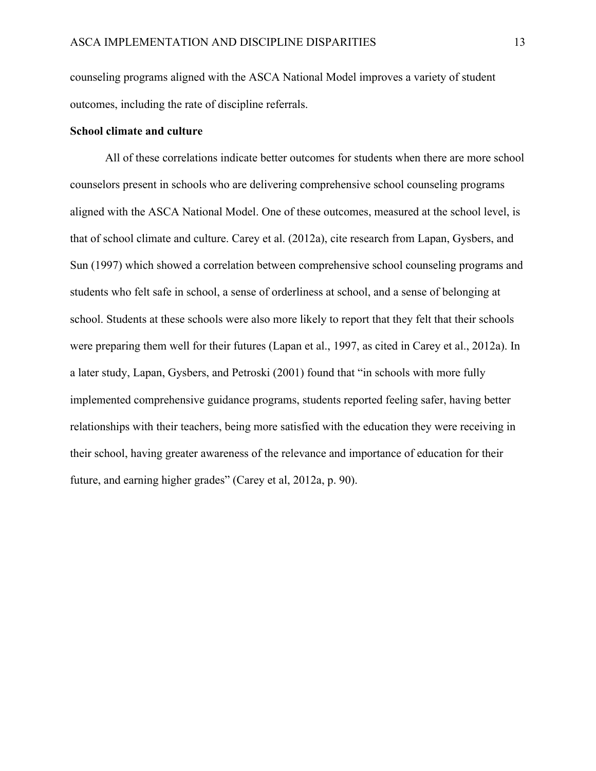counseling programs aligned with the ASCA National Model improves a variety of student outcomes, including the rate of discipline referrals.

#### **School climate and culture**

All of these correlations indicate better outcomes for students when there are more school counselors present in schools who are delivering comprehensive school counseling programs aligned with the ASCA National Model. One of these outcomes, measured at the school level, is that of school climate and culture. Carey et al. (2012a), cite research from Lapan, Gysbers, and Sun (1997) which showed a correlation between comprehensive school counseling programs and students who felt safe in school, a sense of orderliness at school, and a sense of belonging at school. Students at these schools were also more likely to report that they felt that their schools were preparing them well for their futures (Lapan et al., 1997, as cited in Carey et al., 2012a). In a later study, Lapan, Gysbers, and Petroski (2001) found that "in schools with more fully implemented comprehensive guidance programs, students reported feeling safer, having better relationships with their teachers, being more satisfied with the education they were receiving in their school, having greater awareness of the relevance and importance of education for their future, and earning higher grades" (Carey et al, 2012a, p. 90).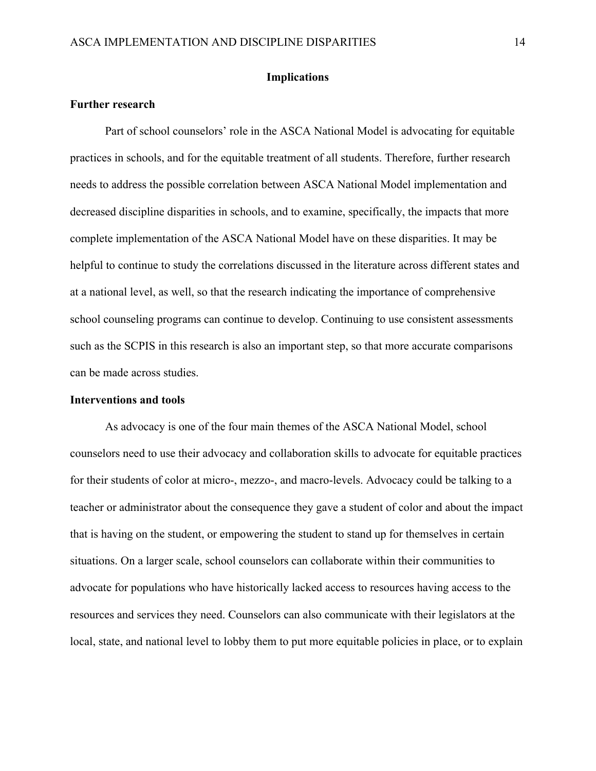#### **Implications**

#### **Further research**

Part of school counselors' role in the ASCA National Model is advocating for equitable practices in schools, and for the equitable treatment of all students. Therefore, further research needs to address the possible correlation between ASCA National Model implementation and decreased discipline disparities in schools, and to examine, specifically, the impacts that more complete implementation of the ASCA National Model have on these disparities. It may be helpful to continue to study the correlations discussed in the literature across different states and at a national level, as well, so that the research indicating the importance of comprehensive school counseling programs can continue to develop. Continuing to use consistent assessments such as the SCPIS in this research is also an important step, so that more accurate comparisons can be made across studies.

#### **Interventions and tools**

As advocacy is one of the four main themes of the ASCA National Model, school counselors need to use their advocacy and collaboration skills to advocate for equitable practices for their students of color at micro-, mezzo-, and macro-levels. Advocacy could be talking to a teacher or administrator about the consequence they gave a student of color and about the impact that is having on the student, or empowering the student to stand up for themselves in certain situations. On a larger scale, school counselors can collaborate within their communities to advocate for populations who have historically lacked access to resources having access to the resources and services they need. Counselors can also communicate with their legislators at the local, state, and national level to lobby them to put more equitable policies in place, or to explain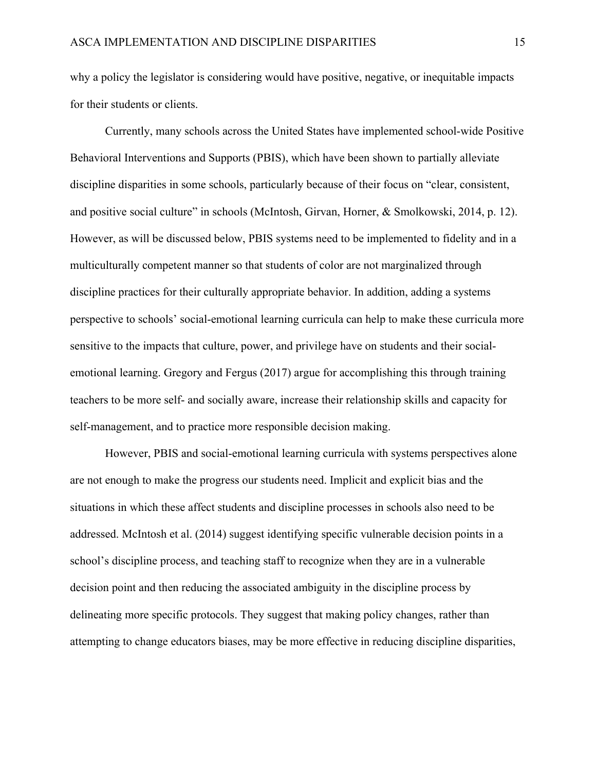why a policy the legislator is considering would have positive, negative, or inequitable impacts for their students or clients.

Currently, many schools across the United States have implemented school-wide Positive Behavioral Interventions and Supports (PBIS), which have been shown to partially alleviate discipline disparities in some schools, particularly because of their focus on "clear, consistent, and positive social culture" in schools (McIntosh, Girvan, Horner, & Smolkowski, 2014, p. 12). However, as will be discussed below, PBIS systems need to be implemented to fidelity and in a multiculturally competent manner so that students of color are not marginalized through discipline practices for their culturally appropriate behavior. In addition, adding a systems perspective to schools' social-emotional learning curricula can help to make these curricula more sensitive to the impacts that culture, power, and privilege have on students and their socialemotional learning. Gregory and Fergus (2017) argue for accomplishing this through training teachers to be more self- and socially aware, increase their relationship skills and capacity for self-management, and to practice more responsible decision making.

However, PBIS and social-emotional learning curricula with systems perspectives alone are not enough to make the progress our students need. Implicit and explicit bias and the situations in which these affect students and discipline processes in schools also need to be addressed. McIntosh et al. (2014) suggest identifying specific vulnerable decision points in a school's discipline process, and teaching staff to recognize when they are in a vulnerable decision point and then reducing the associated ambiguity in the discipline process by delineating more specific protocols. They suggest that making policy changes, rather than attempting to change educators biases, may be more effective in reducing discipline disparities,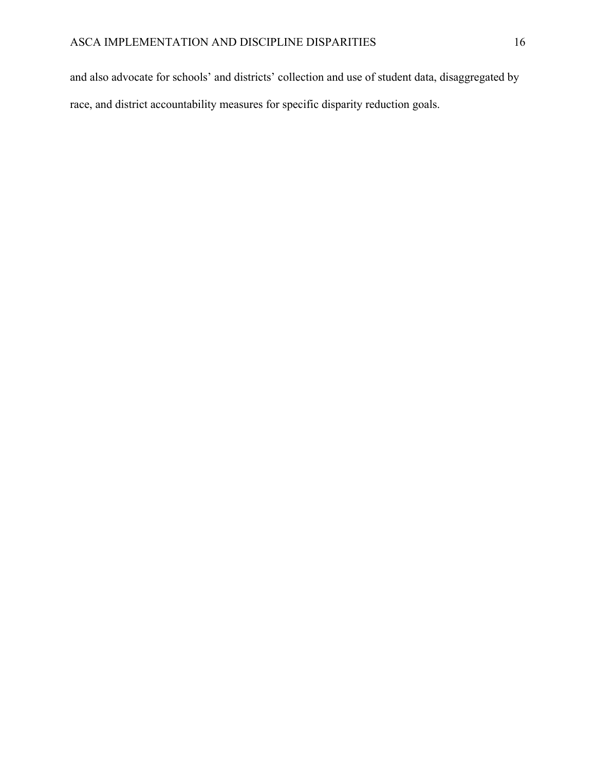and also advocate for schools' and districts' collection and use of student data, disaggregated by race, and district accountability measures for specific disparity reduction goals.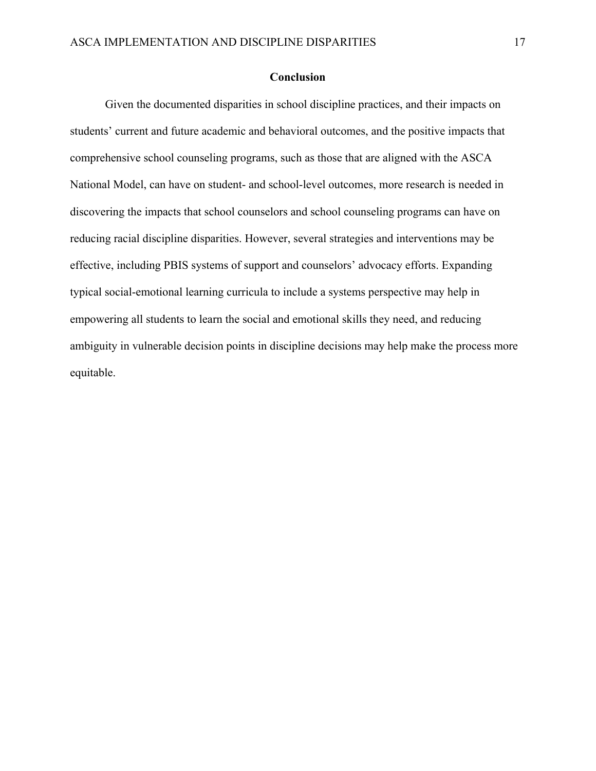#### **Conclusion**

Given the documented disparities in school discipline practices, and their impacts on students' current and future academic and behavioral outcomes, and the positive impacts that comprehensive school counseling programs, such as those that are aligned with the ASCA National Model, can have on student- and school-level outcomes, more research is needed in discovering the impacts that school counselors and school counseling programs can have on reducing racial discipline disparities. However, several strategies and interventions may be effective, including PBIS systems of support and counselors' advocacy efforts. Expanding typical social-emotional learning curricula to include a systems perspective may help in empowering all students to learn the social and emotional skills they need, and reducing ambiguity in vulnerable decision points in discipline decisions may help make the process more equitable.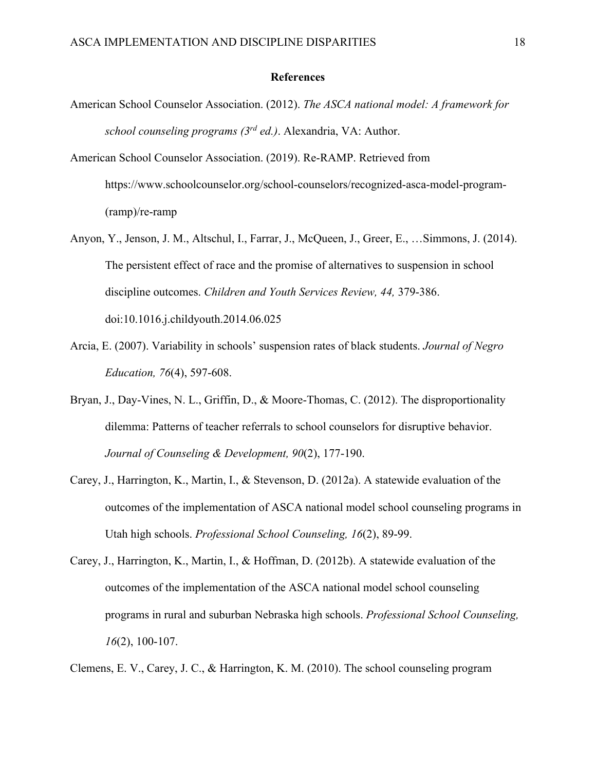#### **References**

- American School Counselor Association. (2012). *The ASCA national model: A framework for school counseling programs (3rd ed.)*. Alexandria, VA: Author.
- American School Counselor Association. (2019). Re-RAMP. Retrieved from https://www.schoolcounselor.org/school-counselors/recognized-asca-model-program- (ramp)/re-ramp
- Anyon, Y., Jenson, J. M., Altschul, I., Farrar, J., McQueen, J., Greer, E., …Simmons, J. (2014). The persistent effect of race and the promise of alternatives to suspension in school discipline outcomes. *Children and Youth Services Review, 44,* 379-386. doi:10.1016.j.childyouth.2014.06.025
- Arcia, E. (2007). Variability in schools' suspension rates of black students. *Journal of Negro Education, 76*(4), 597-608.
- Bryan, J., Day-Vines, N. L., Griffin, D., & Moore-Thomas, C. (2012). The disproportionality dilemma: Patterns of teacher referrals to school counselors for disruptive behavior. *Journal of Counseling & Development, 90*(2), 177-190.
- Carey, J., Harrington, K., Martin, I., & Stevenson, D. (2012a). A statewide evaluation of the outcomes of the implementation of ASCA national model school counseling programs in Utah high schools. *Professional School Counseling, 16*(2), 89-99.
- Carey, J., Harrington, K., Martin, I., & Hoffman, D. (2012b). A statewide evaluation of the outcomes of the implementation of the ASCA national model school counseling programs in rural and suburban Nebraska high schools. *Professional School Counseling, 16*(2), 100-107.

Clemens, E. V., Carey, J. C., & Harrington, K. M. (2010). The school counseling program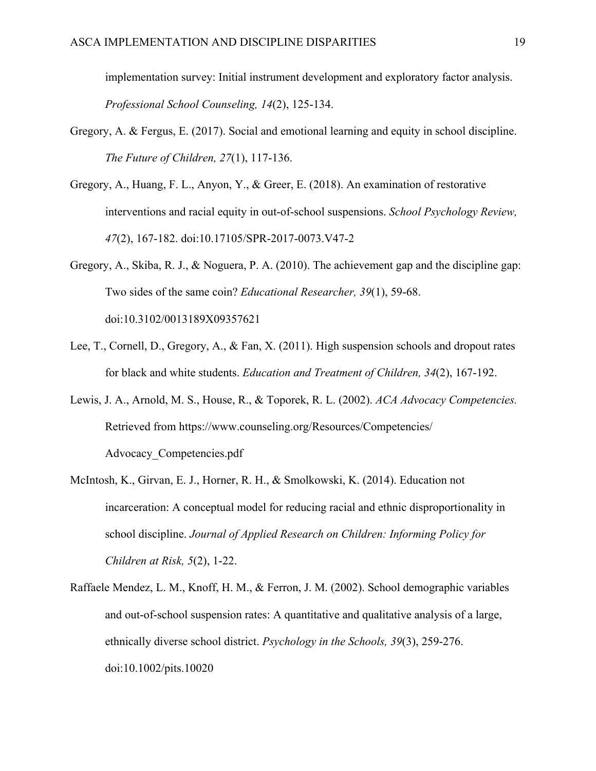implementation survey: Initial instrument development and exploratory factor analysis. *Professional School Counseling, 14*(2), 125-134.

- Gregory, A. & Fergus, E. (2017). Social and emotional learning and equity in school discipline. *The Future of Children, 27*(1), 117-136.
- Gregory, A., Huang, F. L., Anyon, Y., & Greer, E. (2018). An examination of restorative interventions and racial equity in out-of-school suspensions. *School Psychology Review, 47*(2), 167-182. doi:10.17105/SPR-2017-0073.V47-2
- Gregory, A., Skiba, R. J., & Noguera, P. A. (2010). The achievement gap and the discipline gap: Two sides of the same coin? *Educational Researcher, 39*(1), 59-68. doi:10.3102/0013189X09357621
- Lee, T., Cornell, D., Gregory, A., & Fan, X. (2011). High suspension schools and dropout rates for black and white students. *Education and Treatment of Children, 34*(2), 167-192.
- Lewis, J. A., Arnold, M. S., House, R., & Toporek, R. L. (2002). *ACA Advocacy Competencies.*  Retrieved from https://www.counseling.org/Resources/Competencies/ Advocacy\_Competencies.pdf
- McIntosh, K., Girvan, E. J., Horner, R. H., & Smolkowski, K. (2014). Education not incarceration: A conceptual model for reducing racial and ethnic disproportionality in school discipline. *Journal of Applied Research on Children: Informing Policy for Children at Risk, 5*(2), 1-22.
- Raffaele Mendez, L. M., Knoff, H. M., & Ferron, J. M. (2002). School demographic variables and out-of-school suspension rates: A quantitative and qualitative analysis of a large, ethnically diverse school district. *Psychology in the Schools, 39*(3), 259-276. doi:10.1002/pits.10020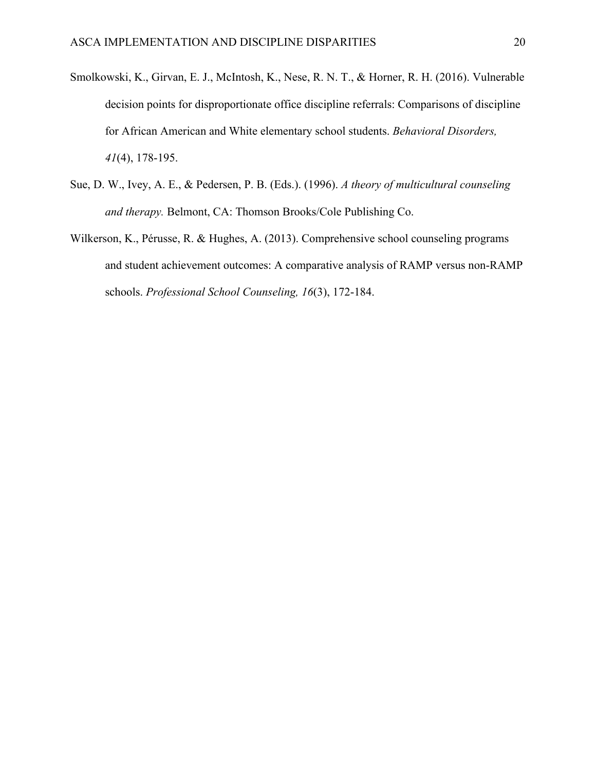- Smolkowski, K., Girvan, E. J., McIntosh, K., Nese, R. N. T., & Horner, R. H. (2016). Vulnerable decision points for disproportionate office discipline referrals: Comparisons of discipline for African American and White elementary school students. *Behavioral Disorders, 41*(4), 178-195.
- Sue, D. W., Ivey, A. E., & Pedersen, P. B. (Eds.). (1996). *A theory of multicultural counseling and therapy.* Belmont, CA: Thomson Brooks/Cole Publishing Co.
- Wilkerson, K., Pérusse, R. & Hughes, A. (2013). Comprehensive school counseling programs and student achievement outcomes: A comparative analysis of RAMP versus non-RAMP schools. *Professional School Counseling, 16*(3), 172-184.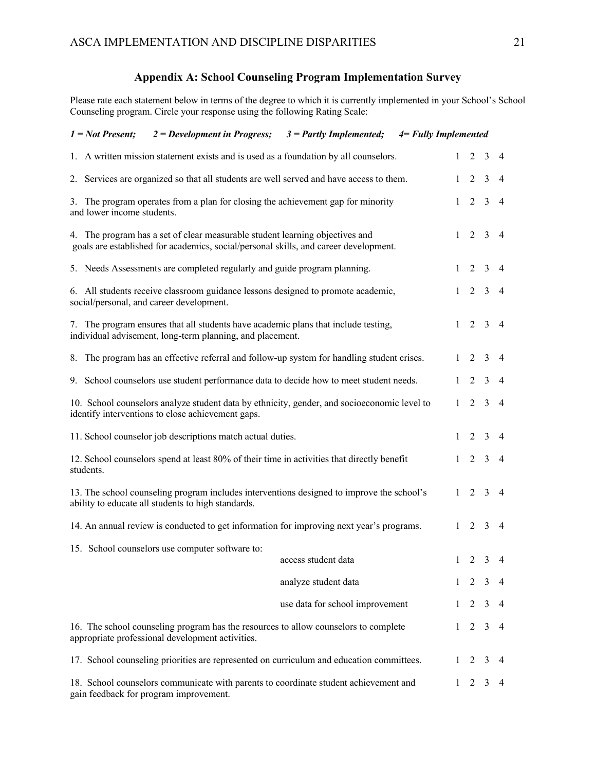# **Appendix A: School Counseling Program Implementation Survey**

Please rate each statement below in terms of the degree to which it is currently implemented in your School's School Counseling program. Circle your response using the following Rating Scale:

| $1 = Not$ Present;                                                                                                                              | $2 = Development$ in Progress;                                                                                                                                       | $3 =$ Partly Implemented;       | $4 = Fully$ Implemented |                                |                |                 |                |
|-------------------------------------------------------------------------------------------------------------------------------------------------|----------------------------------------------------------------------------------------------------------------------------------------------------------------------|---------------------------------|-------------------------|--------------------------------|----------------|-----------------|----------------|
|                                                                                                                                                 | 1. A written mission statement exists and is used as a foundation by all counselors.                                                                                 |                                 |                         | $\mathbf{1}$                   | 2              | 3               | -4             |
|                                                                                                                                                 | 2. Services are organized so that all students are well served and have access to them.                                                                              |                                 | $\mathbf{1}$            | $\overline{2}$                 |                | $\overline{3}$  | $\overline{4}$ |
| 3. The program operates from a plan for closing the achievement gap for minority<br>and lower income students.                                  |                                                                                                                                                                      |                                 |                         | $\overline{2}$<br>$\mathbf{1}$ |                | $\overline{3}$  | $\overline{4}$ |
|                                                                                                                                                 | 4. The program has a set of clear measurable student learning objectives and<br>goals are established for academics, social/personal skills, and career development. |                                 | $\mathbf{1}$            |                                | 2 3            |                 | $\overline{4}$ |
| 5. Needs Assessments are completed regularly and guide program planning.                                                                        |                                                                                                                                                                      |                                 |                         |                                | $2 \quad 3$    |                 | $\overline{4}$ |
| 6. All students receive classroom guidance lessons designed to promote academic,<br>social/personal, and career development.                    |                                                                                                                                                                      |                                 |                         |                                |                | $1 \t2 \t3 \t4$ |                |
| 7. The program ensures that all students have academic plans that include testing,<br>individual advisement, long-term planning, and placement. |                                                                                                                                                                      |                                 |                         |                                |                | $1 \t2 \t3 \t4$ |                |
|                                                                                                                                                 | 8. The program has an effective referral and follow-up system for handling student crises.                                                                           |                                 |                         | $1 \quad 2 \quad 3$            |                |                 | $\overline{4}$ |
|                                                                                                                                                 | 9. School counselors use student performance data to decide how to meet student needs.                                                                               |                                 | 1                       | 2                              |                | $\overline{3}$  | $\overline{4}$ |
|                                                                                                                                                 | 10. School counselors analyze student data by ethnicity, gender, and socioeconomic level to<br>identify interventions to close achievement gaps.                     |                                 | $\mathbf{1}$            |                                | 2              | $\overline{3}$  | $\overline{4}$ |
|                                                                                                                                                 | 11. School counselor job descriptions match actual duties.                                                                                                           |                                 |                         | $\mathbf{1}$                   | $2 \quad 3$    |                 | -4             |
| students.                                                                                                                                       | 12. School counselors spend at least 80% of their time in activities that directly benefit                                                                           |                                 | $\mathbf{1}$            | 2                              |                | 3               | -4             |
|                                                                                                                                                 | 13. The school counseling program includes interventions designed to improve the school's<br>ability to educate all students to high standards.                      |                                 | 1                       |                                | $2 \quad 3$    |                 | -4             |
|                                                                                                                                                 | 14. An annual review is conducted to get information for improving next year's programs.                                                                             |                                 | $\mathbf{1}$            |                                | $2 \quad 3$    |                 | -4             |
|                                                                                                                                                 | 15. School counselors use computer software to:                                                                                                                      | access student data             |                         | $1 \t2 \t3 \t4$                |                |                 |                |
|                                                                                                                                                 |                                                                                                                                                                      | analyze student data            | 1                       | 2                              |                | 3               | 4              |
|                                                                                                                                                 |                                                                                                                                                                      | use data for school improvement | 1                       |                                | $\overline{2}$ | 3               | 4              |
|                                                                                                                                                 | 16. The school counseling program has the resources to allow counselors to complete<br>appropriate professional development activities.                              |                                 | $\mathbf{1}$            |                                | $2 \quad 3$    |                 | 4              |
|                                                                                                                                                 | 17. School counseling priorities are represented on curriculum and education committees.                                                                             |                                 | 1                       | 2                              |                | 3               | 4              |
| 18. School counselors communicate with parents to coordinate student achievement and<br>gain feedback for program improvement.                  |                                                                                                                                                                      |                                 |                         | 2<br>1                         |                | 3               | 4              |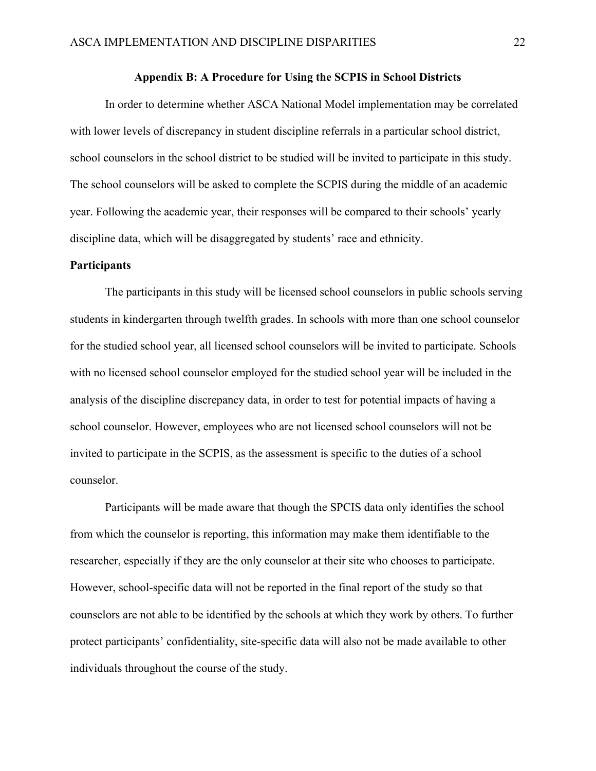#### **Appendix B: A Procedure for Using the SCPIS in School Districts**

In order to determine whether ASCA National Model implementation may be correlated with lower levels of discrepancy in student discipline referrals in a particular school district, school counselors in the school district to be studied will be invited to participate in this study. The school counselors will be asked to complete the SCPIS during the middle of an academic year. Following the academic year, their responses will be compared to their schools' yearly discipline data, which will be disaggregated by students' race and ethnicity.

#### **Participants**

The participants in this study will be licensed school counselors in public schools serving students in kindergarten through twelfth grades. In schools with more than one school counselor for the studied school year, all licensed school counselors will be invited to participate. Schools with no licensed school counselor employed for the studied school year will be included in the analysis of the discipline discrepancy data, in order to test for potential impacts of having a school counselor. However, employees who are not licensed school counselors will not be invited to participate in the SCPIS, as the assessment is specific to the duties of a school counselor.

Participants will be made aware that though the SPCIS data only identifies the school from which the counselor is reporting, this information may make them identifiable to the researcher, especially if they are the only counselor at their site who chooses to participate. However, school-specific data will not be reported in the final report of the study so that counselors are not able to be identified by the schools at which they work by others. To further protect participants' confidentiality, site-specific data will also not be made available to other individuals throughout the course of the study.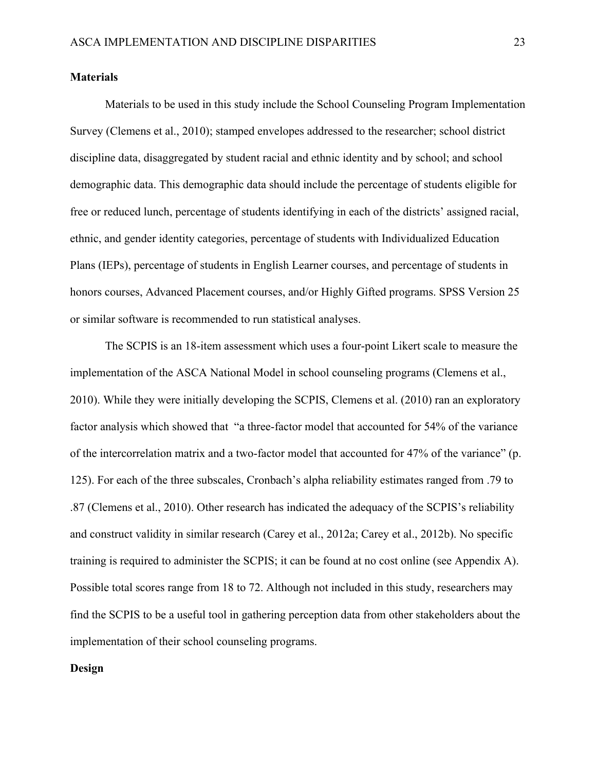#### **Materials**

Materials to be used in this study include the School Counseling Program Implementation Survey (Clemens et al., 2010); stamped envelopes addressed to the researcher; school district discipline data, disaggregated by student racial and ethnic identity and by school; and school demographic data. This demographic data should include the percentage of students eligible for free or reduced lunch, percentage of students identifying in each of the districts' assigned racial, ethnic, and gender identity categories, percentage of students with Individualized Education Plans (IEPs), percentage of students in English Learner courses, and percentage of students in honors courses, Advanced Placement courses, and/or Highly Gifted programs. SPSS Version 25 or similar software is recommended to run statistical analyses.

The SCPIS is an 18-item assessment which uses a four-point Likert scale to measure the implementation of the ASCA National Model in school counseling programs (Clemens et al., 2010). While they were initially developing the SCPIS, Clemens et al. (2010) ran an exploratory factor analysis which showed that "a three-factor model that accounted for 54% of the variance of the intercorrelation matrix and a two-factor model that accounted for 47% of the variance" (p. 125). For each of the three subscales, Cronbach's alpha reliability estimates ranged from .79 to .87 (Clemens et al., 2010). Other research has indicated the adequacy of the SCPIS's reliability and construct validity in similar research (Carey et al., 2012a; Carey et al., 2012b). No specific training is required to administer the SCPIS; it can be found at no cost online (see Appendix A). Possible total scores range from 18 to 72. Although not included in this study, researchers may find the SCPIS to be a useful tool in gathering perception data from other stakeholders about the implementation of their school counseling programs.

#### **Design**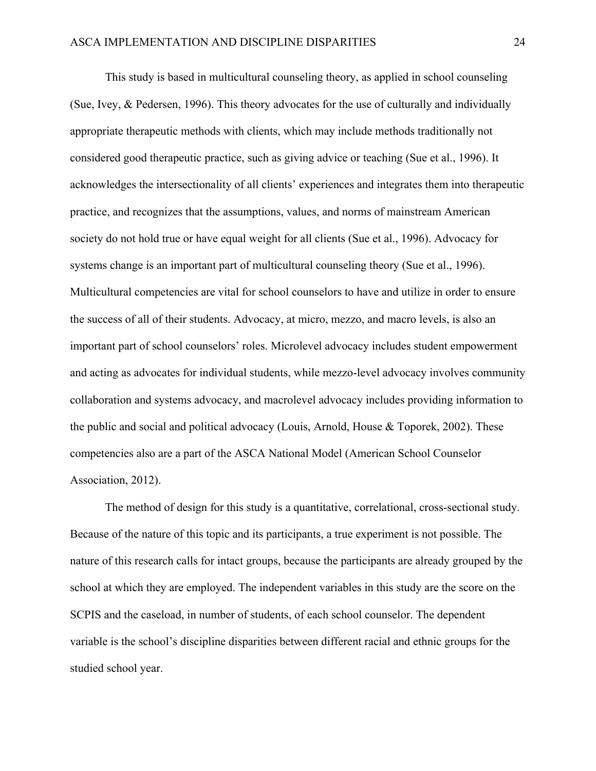This study is based in multicultural counseling theory, as applied in school counseling (Sue, Ivey, & Pedersen, 1996). This theory advocates for the use of culturally and individually appropriate therapeutic methods with clients, which may include methods traditionally not considered good therapeutic practice, such as giving advice or teaching (Sue et al., 1996). It acknowledges the intersectionality of all clients' experiences and integrates them into therapeutic practice, and recognizes that the assumptions, values, and norms of mainstream American society do not hold true or have equal weight for all clients (Sue et al., 1996). Advocacy for systems change is an important part of multicultural counseling theory (Sue et al., 1996). Multicultural competencies are vital for school counselors to have and utilize in order to ensure the success of all of their students. Advocacy, at micro, mezzo, and macro levels, is also an important part of school counselors' roles. Microlevel advocacy includes student empowerment and acting as advocates for individual students, while mezzo-level advocacy involves community collaboration and systems advocacy, and macrolevel advocacy includes providing information to the public and social and political advocacy (Louis, Arnold, House & Toporek, 2002). These competencies also are a part of the ASCA National Model (American School Counselor Association, 2012).

The method of design for this study is a quantitative, correlational, cross-sectional study. Because of the nature of this topic and its participants, a true experiment is not possible. The nature of this research calls for intact groups, because the participants are already grouped by the school at which they are employed. The independent variables in this study are the score on the SCPIS and the caseload, in number of students, of each school counselor. The dependent variable is the school's discipline disparities between different racial and ethnic groups for the studied school year.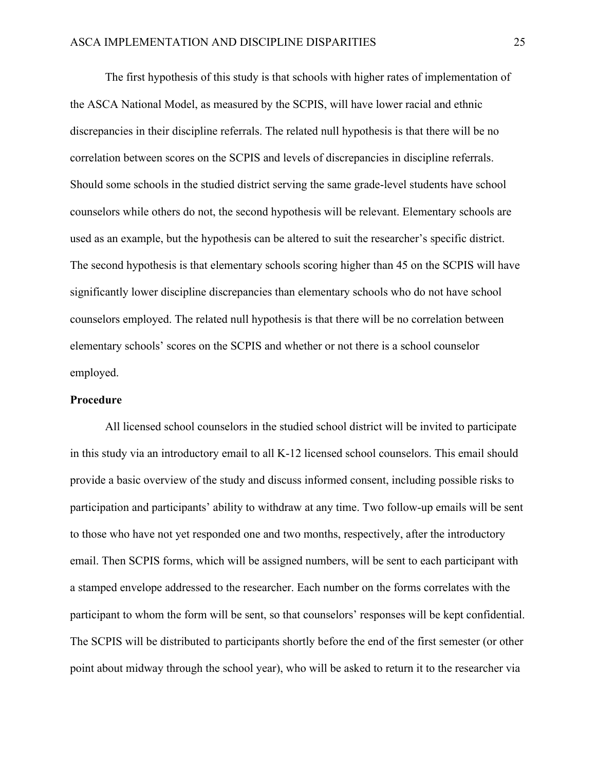The first hypothesis of this study is that schools with higher rates of implementation of the ASCA National Model, as measured by the SCPIS, will have lower racial and ethnic discrepancies in their discipline referrals. The related null hypothesis is that there will be no correlation between scores on the SCPIS and levels of discrepancies in discipline referrals. Should some schools in the studied district serving the same grade-level students have school counselors while others do not, the second hypothesis will be relevant. Elementary schools are used as an example, but the hypothesis can be altered to suit the researcher's specific district. The second hypothesis is that elementary schools scoring higher than 45 on the SCPIS will have significantly lower discipline discrepancies than elementary schools who do not have school counselors employed. The related null hypothesis is that there will be no correlation between elementary schools' scores on the SCPIS and whether or not there is a school counselor employed.

#### **Procedure**

All licensed school counselors in the studied school district will be invited to participate in this study via an introductory email to all K-12 licensed school counselors. This email should provide a basic overview of the study and discuss informed consent, including possible risks to participation and participants' ability to withdraw at any time. Two follow-up emails will be sent to those who have not yet responded one and two months, respectively, after the introductory email. Then SCPIS forms, which will be assigned numbers, will be sent to each participant with a stamped envelope addressed to the researcher. Each number on the forms correlates with the participant to whom the form will be sent, so that counselors' responses will be kept confidential. The SCPIS will be distributed to participants shortly before the end of the first semester (or other point about midway through the school year), who will be asked to return it to the researcher via